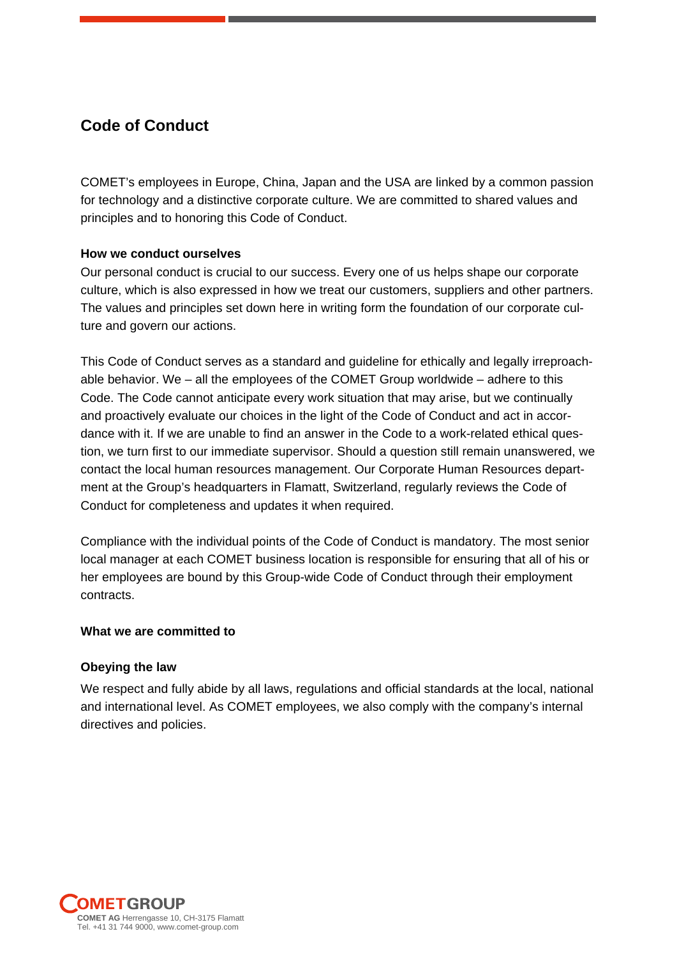# **Code of Conduct**

COMET's employees in Europe, China, Japan and the USA are linked by a common passion for technology and a distinctive corporate culture. We are committed to shared values and principles and to honoring this Code of Conduct.

# **How we conduct ourselves**

Our personal conduct is crucial to our success. Every one of us helps shape our corporate culture, which is also expressed in how we treat our customers, suppliers and other partners. The values and principles set down here in writing form the foundation of our corporate culture and govern our actions.

This Code of Conduct serves as a standard and guideline for ethically and legally irreproachable behavior. We – all the employees of the COMET Group worldwide – adhere to this Code. The Code cannot anticipate every work situation that may arise, but we continually and proactively evaluate our choices in the light of the Code of Conduct and act in accordance with it. If we are unable to find an answer in the Code to a work-related ethical question, we turn first to our immediate supervisor. Should a question still remain unanswered, we contact the local human resources management. Our Corporate Human Resources department at the Group's headquarters in Flamatt, Switzerland, regularly reviews the Code of Conduct for completeness and updates it when required.

Compliance with the individual points of the Code of Conduct is mandatory. The most senior local manager at each COMET business location is responsible for ensuring that all of his or her employees are bound by this Group-wide Code of Conduct through their employment contracts.

# **What we are committed to**

# **Obeying the law**

We respect and fully abide by all laws, regulations and official standards at the local, national and international level. As COMET employees, we also comply with the company's internal directives and policies.

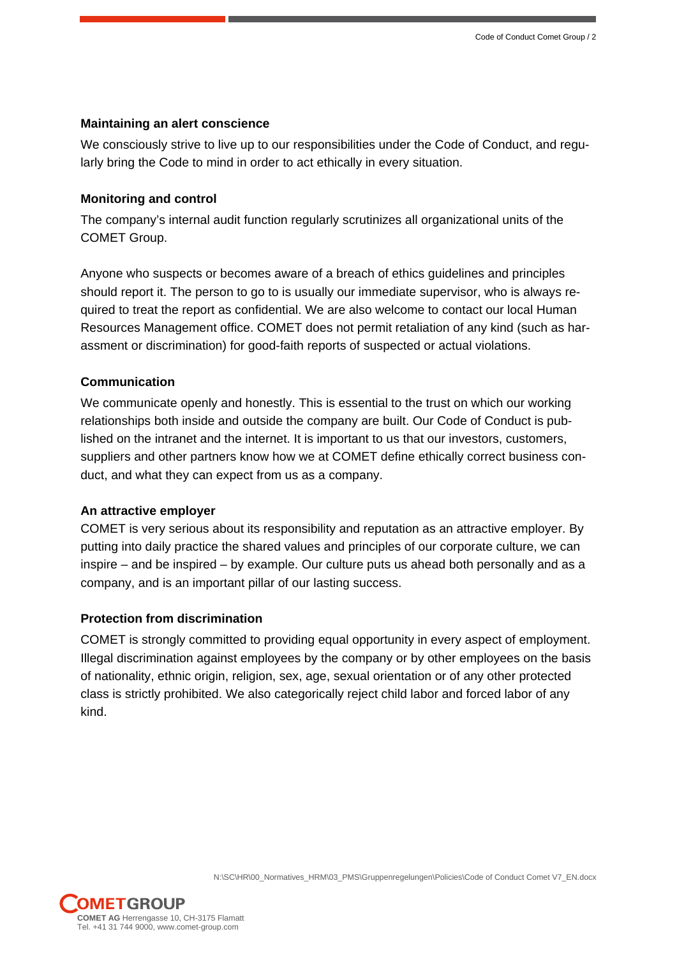## **Maintaining an alert conscience**

We consciously strive to live up to our responsibilities under the Code of Conduct, and regularly bring the Code to mind in order to act ethically in every situation.

# **Monitoring and control**

The company's internal audit function regularly scrutinizes all organizational units of the COMET Group.

Anyone who suspects or becomes aware of a breach of ethics guidelines and principles should report it. The person to go to is usually our immediate supervisor, who is always required to treat the report as confidential. We are also welcome to contact our local Human Resources Management office. COMET does not permit retaliation of any kind (such as harassment or discrimination) for good-faith reports of suspected or actual violations.

# **Communication**

We communicate openly and honestly. This is essential to the trust on which our working relationships both inside and outside the company are built. Our Code of Conduct is published on the intranet and the internet. It is important to us that our investors, customers, suppliers and other partners know how we at COMET define ethically correct business conduct, and what they can expect from us as a company.

### **An attractive employer**

COMET is very serious about its responsibility and reputation as an attractive employer. By putting into daily practice the shared values and principles of our corporate culture, we can inspire – and be inspired – by example. Our culture puts us ahead both personally and as a company, and is an important pillar of our lasting success.

# **Protection from discrimination**

COMET is strongly committed to providing equal opportunity in every aspect of employment. Illegal discrimination against employees by the company or by other employees on the basis of nationality, ethnic origin, religion, sex, age, sexual orientation or of any other protected class is strictly prohibited. We also categorically reject child labor and forced labor of any kind.

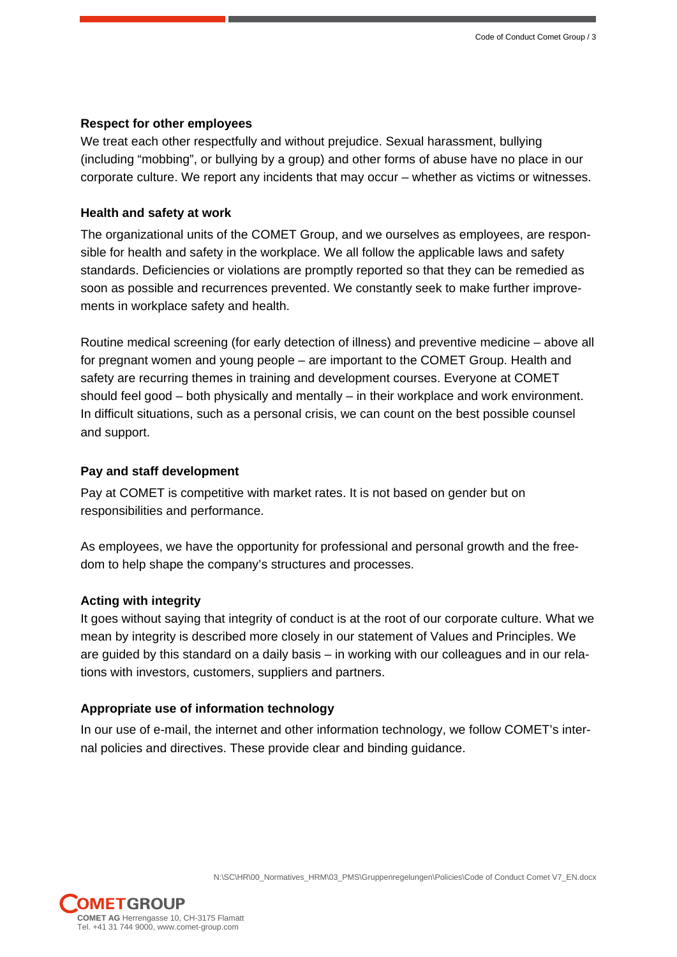#### **Respect for other employees**

We treat each other respectfully and without prejudice. Sexual harassment, bullying (including "mobbing", or bullying by a group) and other forms of abuse have no place in our corporate culture. We report any incidents that may occur – whether as victims or witnesses.

#### **Health and safety at work**

The organizational units of the COMET Group, and we ourselves as employees, are responsible for health and safety in the workplace. We all follow the applicable laws and safety standards. Deficiencies or violations are promptly reported so that they can be remedied as soon as possible and recurrences prevented. We constantly seek to make further improvements in workplace safety and health.

Routine medical screening (for early detection of illness) and preventive medicine – above all for pregnant women and young people – are important to the COMET Group. Health and safety are recurring themes in training and development courses. Everyone at COMET should feel good – both physically and mentally – in their workplace and work environment. In difficult situations, such as a personal crisis, we can count on the best possible counsel and support.

### **Pay and staff development**

Pay at COMET is competitive with market rates. It is not based on gender but on responsibilities and performance.

As employees, we have the opportunity for professional and personal growth and the freedom to help shape the company's structures and processes.

#### **Acting with integrity**

It goes without saying that integrity of conduct is at the root of our corporate culture. What we mean by integrity is described more closely in our statement of Values and Principles. We are guided by this standard on a daily basis – in working with our colleagues and in our relations with investors, customers, suppliers and partners.

# **Appropriate use of information technology**

In our use of e-mail, the internet and other information technology, we follow COMET's internal policies and directives. These provide clear and binding guidance.

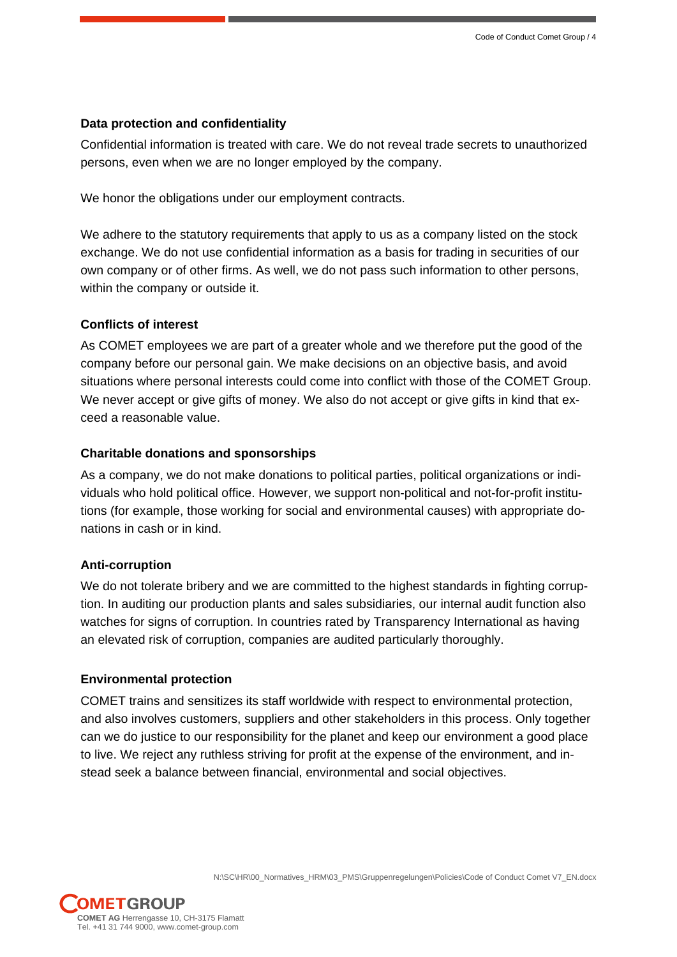### **Data protection and confidentiality**

Confidential information is treated with care. We do not reveal trade secrets to unauthorized persons, even when we are no longer employed by the company.

We honor the obligations under our employment contracts.

We adhere to the statutory requirements that apply to us as a company listed on the stock exchange. We do not use confidential information as a basis for trading in securities of our own company or of other firms. As well, we do not pass such information to other persons, within the company or outside it.

## **Conflicts of interest**

As COMET employees we are part of a greater whole and we therefore put the good of the company before our personal gain. We make decisions on an objective basis, and avoid situations where personal interests could come into conflict with those of the COMET Group. We never accept or give gifts of money. We also do not accept or give gifts in kind that exceed a reasonable value.

# **Charitable donations and sponsorships**

As a company, we do not make donations to political parties, political organizations or individuals who hold political office. However, we support non-political and not-for-profit institutions (for example, those working for social and environmental causes) with appropriate donations in cash or in kind.

### **Anti-corruption**

We do not tolerate bribery and we are committed to the highest standards in fighting corruption. In auditing our production plants and sales subsidiaries, our internal audit function also watches for signs of corruption. In countries rated by Transparency International as having an elevated risk of corruption, companies are audited particularly thoroughly.

### **Environmental protection**

COMET trains and sensitizes its staff worldwide with respect to environmental protection, and also involves customers, suppliers and other stakeholders in this process. Only together can we do justice to our responsibility for the planet and keep our environment a good place to live. We reject any ruthless striving for profit at the expense of the environment, and instead seek a balance between financial, environmental and social objectives.